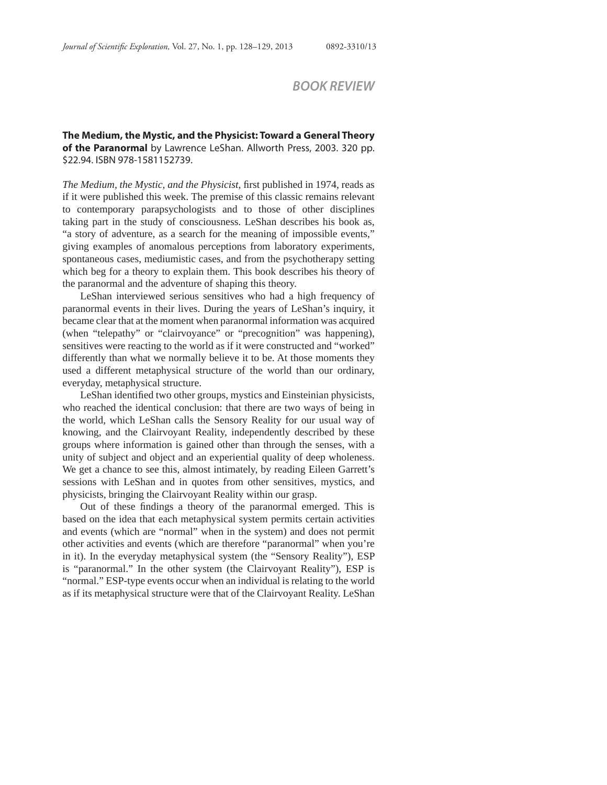## *BOOK REVIEW*

**The Medium, the Mystic, and the Physicist: Toward a General Theory of the Paranormal** by Lawrence LeShan. Allworth Press, 2003. 320 pp. \$22.94. ISBN 978-1581152739.

*The Medium, the Mystic, and the Physicist, first published in 1974, reads as* if it were published this week. The premise of this classic remains relevant to contemporary parapsychologists and to those of other disciplines taking part in the study of consciousness. LeShan describes his book as, "a story of adventure, as a search for the meaning of impossible events," giving examples of anomalous perceptions from laboratory experiments, spontaneous cases, mediumistic cases, and from the psychotherapy setting which beg for a theory to explain them. This book describes his theory of the paranormal and the adventure of shaping this theory.

LeShan interviewed serious sensitives who had a high frequency of paranormal events in their lives. During the years of LeShan's inquiry, it became clear that at the moment when paranormal information was acquired (when "telepathy" or "clairvoyance" or "precognition" was happening), sensitives were reacting to the world as if it were constructed and "worked" differently than what we normally believe it to be. At those moments they used a different metaphysical structure of the world than our ordinary, everyday, metaphysical structure.

LeShan identified two other groups, mystics and Einsteinian physicists, who reached the identical conclusion: that there are two ways of being in the world, which LeShan calls the Sensory Reality for our usual way of knowing, and the Clairvoyant Reality, independently described by these groups where information is gained other than through the senses, with a unity of subject and object and an experiential quality of deep wholeness. We get a chance to see this, almost intimately, by reading Eileen Garrett's sessions with LeShan and in quotes from other sensitives, mystics, and physicists, bringing the Clairvoyant Reality within our grasp.

Out of these findings a theory of the paranormal emerged. This is based on the idea that each metaphysical system permits certain activities and events (which are "normal" when in the system) and does not permit other activities and events (which are therefore "paranormal" when you're in it). In the everyday metaphysical system (the "Sensory Reality"), ESP is "paranormal." In the other system (the Clairvoyant Reality"), ESP is "normal." ESP-type events occur when an individual is relating to the world as if its metaphysical structure were that of the Clairvoyant Reality. LeShan